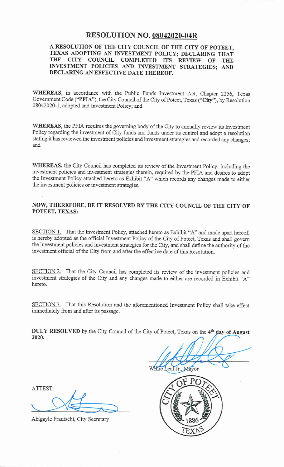# **RESOLUTION NO. 08042020-04R**

#### A RESOLUTION OF THE CITY COUNCIL OF THE CITY OF POTEET, TEXAS ADOPTING AN INVESTMENT POLICY; DECLARING THAT THE CITY COUNCIL COMPLETED ITS REVIEW OF **THE** INVESTMENT POLICIES AND INVESTMENT STRATEGIES; AND DECLARING AN EFFECTIVE DATE THEREOF.

WHEREAS, in accordance with the Public Funds Investment Act, Chapter 2256. Texas Government Code ("PFIA"), the City Council of the City of Poteet, Texas ("City"), by Resolution 08042020-1, adopted and Investment Policy; and

WHEREAS, the PFIA requires the governing body of the City to annually review its Investment Policy regarding the investment of City funds and funds under its control and adopt a resolution stating it has reviewed the investment policies and investment strategies and recorded any changes: and

WHEREAS, the City Council has completed its review of the Investment Policy, including the investment policies and investment strategies therein, required by the PFIA and desires to adopt the Investment Policy attached hereto as Exhibit "A" which records any changes made to either the investment policies or investment strategies.

# NOW, THEREFORE, BE IT RESOLVED BY THE CITY COUNCIL OF THE CITY OF POTEET, TEXAS:

SECTION 1. That the Investment Policy, attached hereto as Exhibit "A" and made apart hereof, is hereby adopted as the official Investment Policy of the City of Poteet, Texas and shall govern the investment policies and investment strategies for the City, and shall define the authority of the investment official of the City from and after the effective date of this Resolution.

SECTION 2. That the City Council has completed its review of the investment policies and investment strategies of the City and any changes made to either are recorded in Exhibit "A" hereto.

SECTION 3. That this Resolution and the aforementioned Investment Policy shall take effect immediately from and after its passage.

DULY RESOLVED by the City Council of the City of Poteet, Texas on the 4<sup>th</sup> day of August 2020.

eal Jr.. Mayor

ATTEST:

Abigayle Frautschi, City Secretary

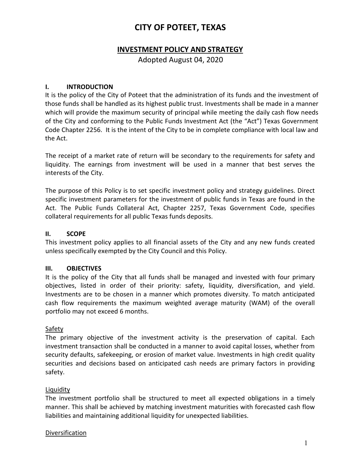# **CITY OF POTEET, TEXAS**

# **INVESTMENT POLICY AND STRATEGY**

Adopted August 04, 2020

#### **I. INTRODUCTION**

It is the policy of the City of Poteet that the administration of its funds and the investment of those funds shall be handled as its highest public trust. Investments shall be made in a manner which will provide the maximum security of principal while meeting the daily cash flow needs of the City and conforming to the Public Funds Investment Act (the "Act") Texas Government Code Chapter 2256. It is the intent of the City to be in complete compliance with local law and the Act.

The receipt of a market rate of return will be secondary to the requirements for safety and liquidity. The earnings from investment will be used in a manner that best serves the interests of the City.

The purpose of this Policy is to set specific investment policy and strategy guidelines. Direct specific investment parameters for the investment of public funds in Texas are found in the Act. The Public Funds Collateral Act, Chapter 2257, Texas Government Code, specifies collateral requirements for all public Texas funds deposits.

#### **II. SCOPE**

This investment policy applies to all financial assets of the City and any new funds created unless specifically exempted by the City Council and this Policy.

#### **III. OBJECTIVES**

It is the policy of the City that all funds shall be managed and invested with four primary objectives, listed in order of their priority: safety, liquidity, diversification, and yield. Investments are to be chosen in a manner which promotes diversity. To match anticipated cash flow requirements the maximum weighted average maturity (WAM) of the overall portfolio may not exceed 6 months.

#### **Safety**

The primary objective of the investment activity is the preservation of capital. Each investment transaction shall be conducted in a manner to avoid capital losses, whether from security defaults, safekeeping, or erosion of market value. Investments in high credit quality securities and decisions based on anticipated cash needs are primary factors in providing safety.

#### Liquidity

The investment portfolio shall be structured to meet all expected obligations in a timely manner. This shall be achieved by matching investment maturities with forecasted cash flow liabilities and maintaining additional liquidity for unexpected liabilities.

#### Diversification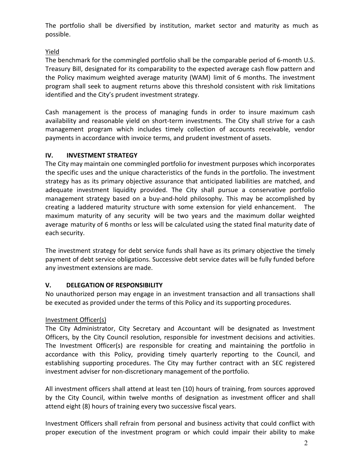The portfolio shall be diversified by institution, market sector and maturity as much as possible.

## Yield

The benchmark for the commingled portfolio shall be the comparable period of 6-month U.S. Treasury Bill, designated for its comparability to the expected average cash flow pattern and the Policy maximum weighted average maturity (WAM) limit of 6 months. The investment program shall seek to augment returns above this threshold consistent with risk limitations identified and the City's prudent investment strategy.

Cash management is the process of managing funds in order to insure maximum cash availability and reasonable yield on short-term investments. The City shall strive for a cash management program which includes timely collection of accounts receivable, vendor payments in accordance with invoice terms, and prudent investment of assets.

#### **IV. INVESTMENT STRATEGY**

The City may maintain one commingled portfolio for investment purposes which incorporates the specific uses and the unique characteristics of the funds in the portfolio. The investment strategy has as its primary objective assurance that anticipated liabilities are matched, and adequate investment liquidity provided. The City shall pursue a conservative portfolio management strategy based on a buy-and-hold philosophy. This may be accomplished by creating a laddered maturity structure with some extension for yield enhancement. The maximum maturity of any security will be two years and the maximum dollar weighted average maturity of 6 months or less will be calculated using the stated final maturity date of each security.

The investment strategy for debt service funds shall have as its primary objective the timely payment of debt service obligations. Successive debt service dates will be fully funded before any investment extensions are made.

#### **V. DELEGATION OF RESPONSIBILITY**

No unauthorized person may engage in an investment transaction and all transactions shall be executed as provided under the terms of this Policy and its supporting procedures.

#### Investment Officer(s)

The City Administrator, City Secretary and Accountant will be designated as Investment Officers, by the City Council resolution, responsible for investment decisions and activities. The Investment Officer(s) are responsible for creating and maintaining the portfolio in accordance with this Policy, providing timely quarterly reporting to the Council, and establishing supporting procedures. The City may further contract with an SEC registered investment adviser for non-discretionary management of the portfolio.

All investment officers shall attend at least ten (10) hours of training, from sources approved by the City Council, within twelve months of designation as investment officer and shall attend eight (8) hours of training every two successive fiscal years.

Investment Officers shall refrain from personal and business activity that could conflict with proper execution of the investment program or which could impair their ability to make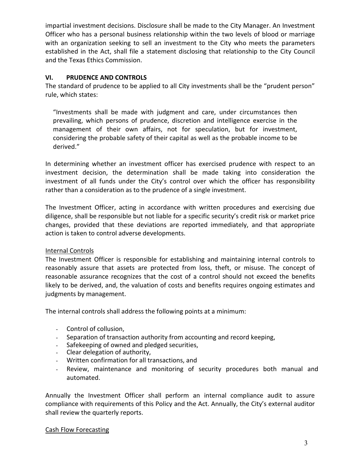impartial investment decisions. Disclosure shall be made to the City Manager. An Investment Officer who has a personal business relationship within the two levels of blood or marriage with an organization seeking to sell an investment to the City who meets the parameters established in the Act, shall file a statement disclosing that relationship to the City Council and the Texas Ethics Commission.

### **VI. PRUDENCE AND CONTROLS**

The standard of prudence to be applied to all City investments shall be the "prudent person" rule, which states:

"Investments shall be made with judgment and care, under circumstances then prevailing, which persons of prudence, discretion and intelligence exercise in the management of their own affairs, not for speculation, but for investment, considering the probable safety of their capital as well as the probable income to be derived."

In determining whether an investment officer has exercised prudence with respect to an investment decision, the determination shall be made taking into consideration the investment of all funds under the City's control over which the officer has responsibility rather than a consideration as to the prudence of a single investment.

The Investment Officer, acting in accordance with written procedures and exercising due diligence, shall be responsible but not liable for a specific security's credit risk or market price changes, provided that these deviations are reported immediately, and that appropriate action is taken to control adverse developments.

#### Internal Controls

The Investment Officer is responsible for establishing and maintaining internal controls to reasonably assure that assets are protected from loss, theft, or misuse. The concept of reasonable assurance recognizes that the cost of a control should not exceed the benefits likely to be derived, and, the valuation of costs and benefits requires ongoing estimates and judgments by management.

The internal controls shall address the following points at a minimum:

- Control of collusion,
- Separation of transaction authority from accounting and record keeping,
- Safekeeping of owned and pledged securities,
- Clear delegation of authority,
- Written confirmation for all transactions, and
- Review, maintenance and monitoring of security procedures both manual and automated.

Annually the Investment Officer shall perform an internal compliance audit to assure compliance with requirements of this Policy and the Act. Annually, the City's external auditor shall review the quarterly reports.

#### Cash Flow Forecasting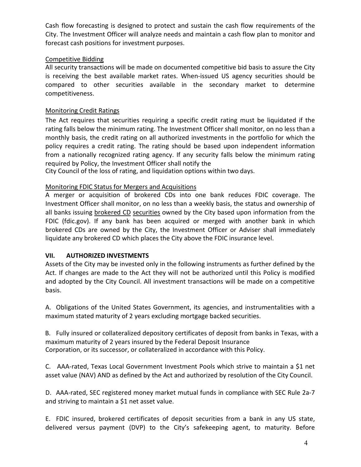Cash flow forecasting is designed to protect and sustain the cash flow requirements of the City. The Investment Officer will analyze needs and maintain a cash flow plan to monitor and forecast cash positions for investment purposes.

#### Competitive Bidding

All security transactions will be made on documented competitive bid basis to assure the City is receiving the best available market rates. When-issued US agency securities should be compared to other securities available in the secondary market to determine competitiveness.

#### Monitoring Credit Ratings

The Act requires that securities requiring a specific credit rating must be liquidated if the rating falls below the minimum rating. The Investment Officer shall monitor, on no less than a monthly basis, the credit rating on all authorized investments in the portfolio for which the policy requires a credit rating. The rating should be based upon independent information from a nationally recognized rating agency. If any security falls below the minimum rating required by Policy, the Investment Officer shall notify the

City Council of the loss of rating, and liquidation options within two days.

#### Monitoring FDIC Status for Mergers and Acquisitions

A merger or acquisition of brokered CDs into one bank reduces FDIC coverage. The Investment Officer shall monitor, on no less than a weekly basis, the status and ownership of all banks issuing brokered CD securities owned by the City based upon information from the FDIC (fdic.gov). If any bank has been acquired or merged with another bank in which brokered CDs are owned by the City, the Investment Officer or Adviser shall immediately liquidate any brokered CD which places the City above the FDIC insurance level.

#### **VII. AUTHORIZED INVESTMENTS**

Assets of the City may be invested only in the following instruments as further defined by the Act. If changes are made to the Act they will not be authorized until this Policy is modified and adopted by the City Council. All investment transactions will be made on a competitive basis.

A. Obligations of the United States Government, its agencies, and instrumentalities with a maximum stated maturity of 2 years excluding mortgage backed securities.

B. Fully insured or collateralized depository certificates of deposit from banks in Texas, with a maximum maturity of 2 years insured by the Federal Deposit Insurance Corporation, or its successor, or collateralized in accordance with this Policy.

C. AAA-rated, Texas Local Government Investment Pools which strive to maintain a \$1 net asset value (NAV) AND as defined by the Act and authorized by resolution of the City Council.

D. AAA-rated, SEC registered money market mutual funds in compliance with SEC Rule 2a-7 and striving to maintain a \$1 net asset value.

E. FDIC insured, brokered certificates of deposit securities from a bank in any US state, delivered versus payment (DVP) to the City's safekeeping agent, to maturity. Before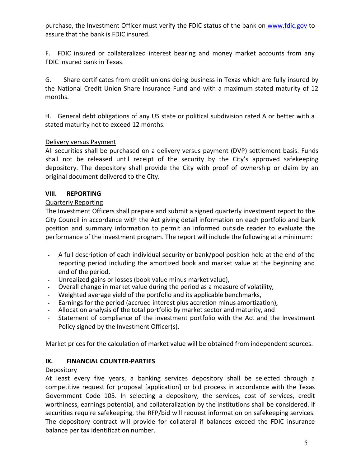purchase, the Investment Officer must verify the FDIC status of the bank on [www.fdic.gov](http://www.fdic.gov/) to assure that the bank is FDIC insured.

F. FDIC insured or collateralized interest bearing and money market accounts from any FDIC insured bank in Texas.

G. Share certificates from credit unions doing business in Texas which are fully insured by the National Credit Union Share Insurance Fund and with a maximum stated maturity of 12 months.

H. General debt obligations of any US state or political subdivision rated A or better with a stated maturity not to exceed 12 months.

#### Delivery versus Payment

All securities shall be purchased on a delivery versus payment (DVP) settlement basis. Funds shall not be released until receipt of the security by the City's approved safekeeping depository. The depository shall provide the City with proof of ownership or claim by an original document delivered to the City.

#### **VIII. REPORTING**

#### Quarterly Reporting

The Investment Officers shall prepare and submit a signed quarterly investment report to the City Council in accordance with the Act giving detail information on each portfolio and bank position and summary information to permit an informed outside reader to evaluate the performance of the investment program. The report will include the following at a minimum:

- A full description of each individual security or bank/pool position held at the end of the reporting period including the amortized book and market value at the beginning and end of the period,
- Unrealized gains or losses (book value minus market value),
- Overall change in market value during the period as a measure of volatility,
- Weighted average yield of the portfolio and its applicable benchmarks,
- Earnings for the period (accrued interest plus accretion minus amortization),
- Allocation analysis of the total portfolio by market sector and maturity, and
- Statement of compliance of the investment portfolio with the Act and the Investment Policy signed by the Investment Officer(s).

Market prices for the calculation of market value will be obtained from independent sources.

#### **IX. FINANCIAL COUNTER-PARTIES**

#### Depository

At least every five years, a banking services depository shall be selected through a competitive request for proposal [application] or bid process in accordance with the Texas Government Code 105. In selecting a depository, the services, cost of services, credit worthiness, earnings potential, and collateralization by the institutions shall be considered. If securities require safekeeping, the RFP/bid will request information on safekeeping services. The depository contract will provide for collateral if balances exceed the FDIC insurance balance per tax identification number.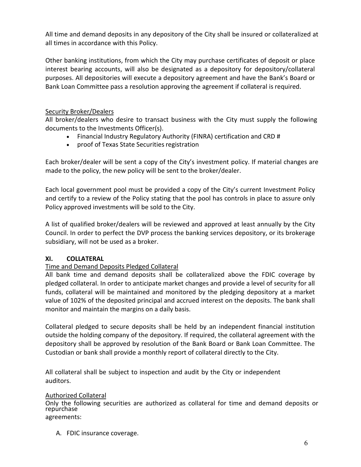All time and demand deposits in any depository of the City shall be insured or collateralized at all times in accordance with this Policy.

Other banking institutions, from which the City may purchase certificates of deposit or place interest bearing accounts, will also be designated as a depository for depository/collateral purposes. All depositories will execute a depository agreement and have the Bank's Board or Bank Loan Committee pass a resolution approving the agreement if collateral is required.

### Security Broker/Dealers

All broker/dealers who desire to transact business with the City must supply the following documents to the Investments Officer(s).

- Financial Industry Regulatory Authority (FINRA) certification and CRD #
- proof of Texas State Securities registration

Each broker/dealer will be sent a copy of the City's investment policy. If material changes are made to the policy, the new policy will be sent to the broker/dealer.

Each local government pool must be provided a copy of the City's current Investment Policy and certify to a review of the Policy stating that the pool has controls in place to assure only Policy approved investments will be sold to the City.

A list of qualified broker/dealers will be reviewed and approved at least annually by the City Council. In order to perfect the DVP process the banking services depository, or its brokerage subsidiary, will not be used as a broker.

#### **XI. COLLATERAL**

#### Time and Demand Deposits Pledged Collateral

All bank time and demand deposits shall be collateralized above the FDIC coverage by pledged collateral. In order to anticipate market changes and provide a level of security for all funds, collateral will be maintained and monitored by the pledging depository at a market value of 102% of the deposited principal and accrued interest on the deposits. The bank shall monitor and maintain the margins on a daily basis.

Collateral pledged to secure deposits shall be held by an independent financial institution outside the holding company of the depository. If required, the collateral agreement with the depository shall be approved by resolution of the Bank Board or Bank Loan Committee. The Custodian or bank shall provide a monthly report of collateral directly to the City.

All collateral shall be subject to inspection and audit by the City or independent auditors.

#### Authorized Collateral

Only the following securities are authorized as collateral for time and demand deposits or repurchase agreements:

A. FDIC insurance coverage.